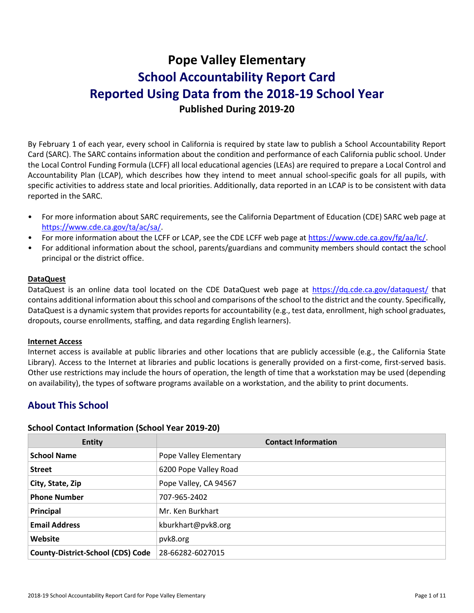# **Pope Valley Elementary School Accountability Report Card Reported Using Data from the 2018-19 School Year Published During 2019-20**

By February 1 of each year, every school in California is required by state law to publish a School Accountability Report Card (SARC). The SARC contains information about the condition and performance of each California public school. Under the Local Control Funding Formula (LCFF) all local educational agencies (LEAs) are required to prepare a Local Control and Accountability Plan (LCAP), which describes how they intend to meet annual school-specific goals for all pupils, with specific activities to address state and local priorities. Additionally, data reported in an LCAP is to be consistent with data reported in the SARC.

- For more information about SARC requirements, see the California Department of Education (CDE) SARC web page at [https://www.cde.ca.gov/ta/ac/sa/.](https://www.cde.ca.gov/ta/ac/sa/)
- For more information about the LCFF or LCAP, see the CDE LCFF web page at [https://www.cde.ca.gov/fg/aa/lc/.](https://www.cde.ca.gov/fg/aa/lc/)
- For additional information about the school, parents/guardians and community members should contact the school principal or the district office.

### **DataQuest**

DataQuest is an online data tool located on the CDE DataQuest web page at<https://dq.cde.ca.gov/dataquest/> that contains additional information about this school and comparisons of the school to the district and the county. Specifically, DataQuest is a dynamic system that provides reports for accountability (e.g., test data, enrollment, high school graduates, dropouts, course enrollments, staffing, and data regarding English learners).

### **Internet Access**

Internet access is available at public libraries and other locations that are publicly accessible (e.g., the California State Library). Access to the Internet at libraries and public locations is generally provided on a first-come, first-served basis. Other use restrictions may include the hours of operation, the length of time that a workstation may be used (depending on availability), the types of software programs available on a workstation, and the ability to print documents.

# **About This School**

### **School Contact Information (School Year 2019-20)**

| <b>Entity</b>                            | <b>Contact Information</b> |
|------------------------------------------|----------------------------|
| <b>School Name</b>                       | Pope Valley Elementary     |
| <b>Street</b>                            | 6200 Pope Valley Road      |
| City, State, Zip                         | Pope Valley, CA 94567      |
| <b>Phone Number</b>                      | 707-965-2402               |
| Principal                                | Mr. Ken Burkhart           |
| <b>Email Address</b>                     | kburkhart@pvk8.org         |
| Website                                  | pvk8.org                   |
| <b>County-District-School (CDS) Code</b> | 28-66282-6027015           |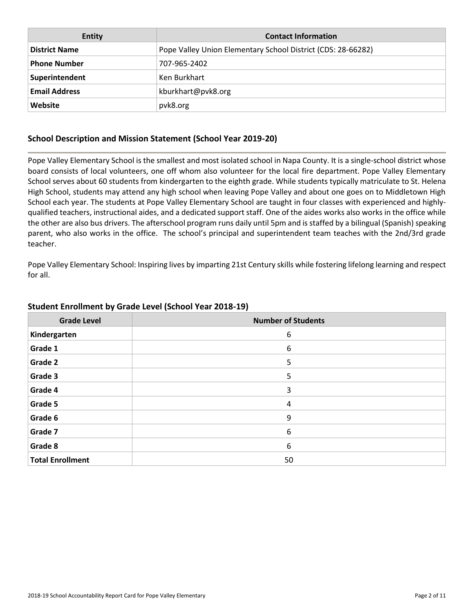| Entity               | <b>Contact Information</b>                                   |
|----------------------|--------------------------------------------------------------|
| <b>District Name</b> | Pope Valley Union Elementary School District (CDS: 28-66282) |
| <b>Phone Number</b>  | 707-965-2402                                                 |
| Superintendent       | Ken Burkhart                                                 |
| <b>Email Address</b> | kburkhart@pvk8.org                                           |
| Website              | pvk8.org                                                     |

### **School Description and Mission Statement (School Year 2019-20)**

Pope Valley Elementary School is the smallest and most isolated school in Napa County. It is a single-school district whose board consists of local volunteers, one off whom also volunteer for the local fire department. Pope Valley Elementary School serves about 60 students from kindergarten to the eighth grade. While students typically matriculate to St. Helena High School, students may attend any high school when leaving Pope Valley and about one goes on to Middletown High School each year. The students at Pope Valley Elementary School are taught in four classes with experienced and highlyqualified teachers, instructional aides, and a dedicated support staff. One of the aides works also works in the office while the other are also bus drivers. The afterschool program runs daily until 5pm and is staffed by a bilingual (Spanish) speaking parent, who also works in the office. The school's principal and superintendent team teaches with the 2nd/3rd grade teacher.

Pope Valley Elementary School: Inspiring lives by imparting 21st Century skills while fostering lifelong learning and respect for all.

| <b>Grade Level</b>      | <b>Number of Students</b> |
|-------------------------|---------------------------|
| Kindergarten            | 6                         |
| Grade 1                 | 6                         |
| <b>Grade 2</b>          | 5                         |
| Grade 3                 | 5                         |
| Grade 4                 | 3                         |
| Grade 5                 | 4                         |
| Grade 6                 | 9                         |
| Grade 7                 | 6                         |
| Grade 8                 | 6                         |
| <b>Total Enrollment</b> | 50                        |

### **Student Enrollment by Grade Level (School Year 2018-19)**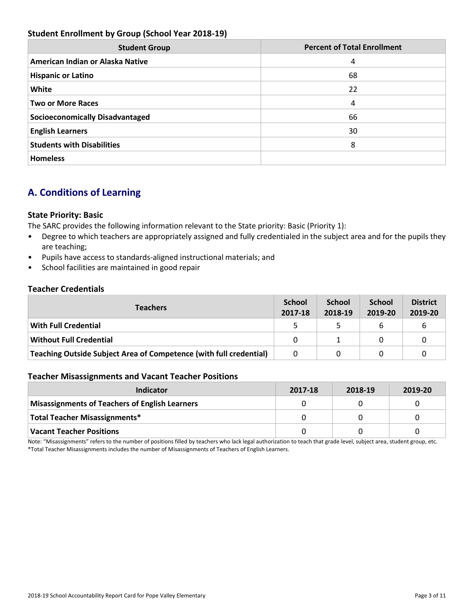### **Student Enrollment by Group (School Year 2018-19)**

| <b>Student Group</b>                   | <b>Percent of Total Enrollment</b> |
|----------------------------------------|------------------------------------|
| American Indian or Alaska Native       | 4                                  |
| <b>Hispanic or Latino</b>              | 68                                 |
| White                                  | 22                                 |
| <b>Two or More Races</b>               | 4                                  |
| <b>Socioeconomically Disadvantaged</b> | 66                                 |
| <b>English Learners</b>                | 30                                 |
| <b>Students with Disabilities</b>      | 8                                  |
| <b>Homeless</b>                        |                                    |

# **A. Conditions of Learning**

### **State Priority: Basic**

The SARC provides the following information relevant to the State priority: Basic (Priority 1):

- Degree to which teachers are appropriately assigned and fully credentialed in the subject area and for the pupils they are teaching;
- Pupils have access to standards-aligned instructional materials; and
- School facilities are maintained in good repair

### **Teacher Credentials**

| <b>Teachers</b>                                                           |  | <b>School</b><br>2018-19 | <b>School</b><br>2019-20 | <b>District</b><br>2019-20 |
|---------------------------------------------------------------------------|--|--------------------------|--------------------------|----------------------------|
| <b>With Full Credential</b>                                               |  |                          | b                        |                            |
| <b>Without Full Credential</b>                                            |  |                          |                          |                            |
| <b>Teaching Outside Subject Area of Competence (with full credential)</b> |  | 0                        |                          |                            |

### **Teacher Misassignments and Vacant Teacher Positions**

| Indicator                                             | 2017-18 | 2018-19 | 2019-20 |
|-------------------------------------------------------|---------|---------|---------|
| <b>Misassignments of Teachers of English Learners</b> |         |         |         |
| <b>Total Teacher Misassignments*</b>                  |         |         |         |
| <b>Vacant Teacher Positions</b>                       |         |         |         |

Note: "Misassignments" refers to the number of positions filled by teachers who lack legal authorization to teach that grade level, subject area, student group, etc. \*Total Teacher Misassignments includes the number of Misassignments of Teachers of English Learners.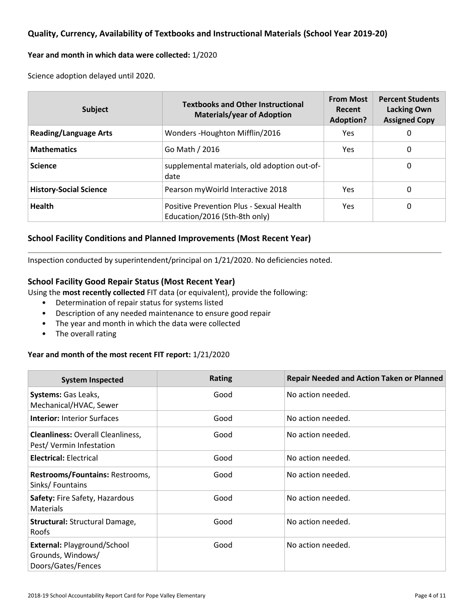### **Quality, Currency, Availability of Textbooks and Instructional Materials (School Year 2019-20)**

#### **Year and month in which data were collected:** 1/2020

Science adoption delayed until 2020.

| <b>Subject</b>                | <b>Textbooks and Other Instructional</b><br><b>Materials/year of Adoption</b> | <b>From Most</b><br>Recent<br><b>Adoption?</b> | <b>Percent Students</b><br><b>Lacking Own</b><br><b>Assigned Copy</b> |  |
|-------------------------------|-------------------------------------------------------------------------------|------------------------------------------------|-----------------------------------------------------------------------|--|
| <b>Reading/Language Arts</b>  | Wonders - Houghton Mifflin/2016                                               | Yes.                                           | 0                                                                     |  |
| <b>Mathematics</b>            | Go Math / 2016                                                                | Yes.                                           | 0                                                                     |  |
| <b>Science</b>                | supplemental materials, old adoption out-of-<br>date                          |                                                | 0                                                                     |  |
| <b>History-Social Science</b> | Pearson my Woirld Interactive 2018                                            | Yes.                                           | 0                                                                     |  |
| <b>Health</b>                 | Positive Prevention Plus - Sexual Health<br>Education/2016 (5th-8th only)     | Yes.                                           | 0                                                                     |  |

### **School Facility Conditions and Planned Improvements (Most Recent Year)**

Inspection conducted by superintendent/principal on 1/21/2020. No deficiencies noted.

### **School Facility Good Repair Status (Most Recent Year)**

Using the **most recently collected** FIT data (or equivalent), provide the following:

- Determination of repair status for systems listed
- Description of any needed maintenance to ensure good repair
- The year and month in which the data were collected
- The overall rating

### **Year and month of the most recent FIT report:** 1/21/2020

| <b>System Inspected</b>                                                | <b>Rating</b> | <b>Repair Needed and Action Taken or Planned</b> |
|------------------------------------------------------------------------|---------------|--------------------------------------------------|
| <b>Systems: Gas Leaks,</b><br>Mechanical/HVAC, Sewer                   | Good          | No action needed.                                |
| <b>Interior: Interior Surfaces</b>                                     | Good          | No action needed.                                |
| <b>Cleanliness: Overall Cleanliness,</b><br>Pest/Vermin Infestation    | Good          | No action needed.                                |
| <b>Electrical: Electrical</b>                                          | Good          | No action needed.                                |
| Restrooms/Fountains: Restrooms,<br>Sinks/Fountains                     | Good          | No action needed.                                |
| <b>Safety: Fire Safety, Hazardous</b><br><b>Materials</b>              | Good          | No action needed.                                |
| <b>Structural: Structural Damage,</b><br><b>Roofs</b>                  | Good          | No action needed.                                |
| External: Playground/School<br>Grounds, Windows/<br>Doors/Gates/Fences | Good          | No action needed.                                |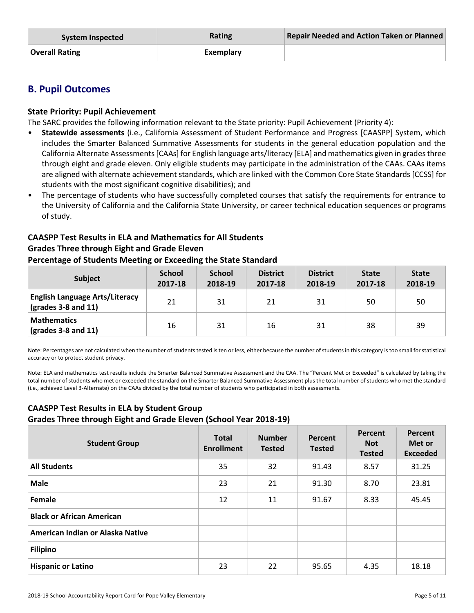| System Inspected | Rating    | <b>Repair Needed and Action Taken or Planned</b> |
|------------------|-----------|--------------------------------------------------|
| Overall Rating   | Exemplary |                                                  |

### **B. Pupil Outcomes**

### **State Priority: Pupil Achievement**

The SARC provides the following information relevant to the State priority: Pupil Achievement (Priority 4):

- **Statewide assessments** (i.e., California Assessment of Student Performance and Progress [CAASPP] System, which includes the Smarter Balanced Summative Assessments for students in the general education population and the California Alternate Assessments [CAAs] for English language arts/literacy [ELA] and mathematics given in grades three through eight and grade eleven. Only eligible students may participate in the administration of the CAAs. CAAs items are aligned with alternate achievement standards, which are linked with the Common Core State Standards [CCSS] for students with the most significant cognitive disabilities); and
- The percentage of students who have successfully completed courses that satisfy the requirements for entrance to the University of California and the California State University, or career technical education sequences or programs of study.

### **CAASPP Test Results in ELA and Mathematics for All Students Grades Three through Eight and Grade Eleven**

# **Percentage of Students Meeting or Exceeding the State Standard**

| <b>Subject</b>                                                                | <b>School</b><br>2017-18 | <b>School</b><br>2018-19 | <b>District</b><br>2017-18 | <b>District</b><br>2018-19 | <b>State</b><br>2017-18 | <b>State</b><br>2018-19 |
|-------------------------------------------------------------------------------|--------------------------|--------------------------|----------------------------|----------------------------|-------------------------|-------------------------|
| <b>English Language Arts/Literacy</b><br>$\left($ grades 3-8 and 11 $\right)$ | 21                       | 31                       | 21                         | 31                         | 50                      | 50                      |
| <b>Mathematics</b><br>$\sqrt{(grades 3-8 and 11)}$                            | 16                       | 31                       | 16                         | 31                         | 38                      | 39                      |

Note: Percentages are not calculated when the number of students tested is ten or less, either because the number of students in this category is too small for statistical accuracy or to protect student privacy.

Note: ELA and mathematics test results include the Smarter Balanced Summative Assessment and the CAA. The "Percent Met or Exceeded" is calculated by taking the total number of students who met or exceeded the standard on the Smarter Balanced Summative Assessment plus the total number of students who met the standard (i.e., achieved Level 3-Alternate) on the CAAs divided by the total number of students who participated in both assessments.

### **CAASPP Test Results in ELA by Student Group Grades Three through Eight and Grade Eleven (School Year 2018-19)**

| <b>Student Group</b>             | <b>Total</b><br><b>Enrollment</b> | <b>Number</b><br><b>Tested</b> | Percent<br><b>Tested</b> | Percent<br><b>Not</b><br><b>Tested</b> | Percent<br>Met or<br><b>Exceeded</b> |
|----------------------------------|-----------------------------------|--------------------------------|--------------------------|----------------------------------------|--------------------------------------|
| <b>All Students</b>              | 35                                | 32                             | 91.43                    | 8.57                                   | 31.25                                |
| <b>Male</b>                      | 23                                | 21                             | 91.30                    | 8.70                                   | 23.81                                |
| Female                           | 12                                | 11                             | 91.67                    | 8.33                                   | 45.45                                |
| <b>Black or African American</b> |                                   |                                |                          |                                        |                                      |
| American Indian or Alaska Native |                                   |                                |                          |                                        |                                      |
| <b>Filipino</b>                  |                                   |                                |                          |                                        |                                      |
| <b>Hispanic or Latino</b>        | 23                                | 22                             | 95.65                    | 4.35                                   | 18.18                                |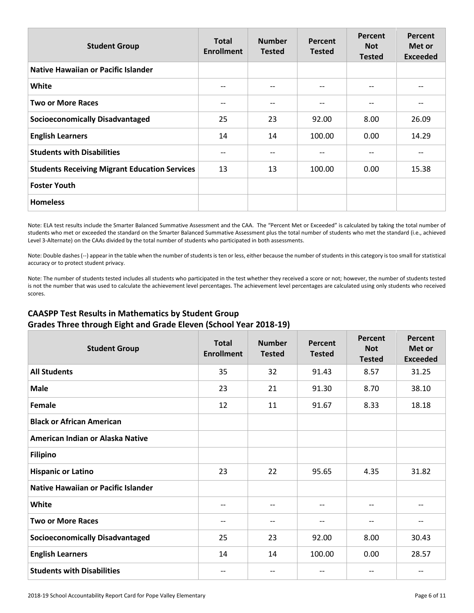| <b>Student Group</b>                                 | <b>Total</b><br><b>Enrollment</b> | <b>Number</b><br><b>Tested</b> | Percent<br><b>Tested</b> | Percent<br><b>Not</b><br><b>Tested</b> | <b>Percent</b><br>Met or<br><b>Exceeded</b> |
|------------------------------------------------------|-----------------------------------|--------------------------------|--------------------------|----------------------------------------|---------------------------------------------|
| <b>Native Hawaiian or Pacific Islander</b>           |                                   |                                |                          |                                        |                                             |
| White                                                | --                                |                                | --                       | --                                     |                                             |
| <b>Two or More Races</b>                             | --                                | --                             | $- -$                    | --                                     | --                                          |
| <b>Socioeconomically Disadvantaged</b>               | 25                                | 23                             | 92.00                    | 8.00                                   | 26.09                                       |
| <b>English Learners</b>                              | 14                                | 14                             | 100.00                   | 0.00                                   | 14.29                                       |
| <b>Students with Disabilities</b>                    | --                                |                                | --                       |                                        |                                             |
| <b>Students Receiving Migrant Education Services</b> | 13                                | 13                             | 100.00                   | 0.00                                   | 15.38                                       |
| <b>Foster Youth</b>                                  |                                   |                                |                          |                                        |                                             |
| <b>Homeless</b>                                      |                                   |                                |                          |                                        |                                             |

Note: ELA test results include the Smarter Balanced Summative Assessment and the CAA. The "Percent Met or Exceeded" is calculated by taking the total number of students who met or exceeded the standard on the Smarter Balanced Summative Assessment plus the total number of students who met the standard (i.e., achieved Level 3-Alternate) on the CAAs divided by the total number of students who participated in both assessments.

Note: Double dashes (--) appear in the table when the number of students is ten or less, either because the number of students in this category is too small for statistical accuracy or to protect student privacy.

Note: The number of students tested includes all students who participated in the test whether they received a score or not; however, the number of students tested is not the number that was used to calculate the achievement level percentages. The achievement level percentages are calculated using only students who received scores.

### **CAASPP Test Results in Mathematics by Student Group Grades Three through Eight and Grade Eleven (School Year 2018-19)**

| <b>Student Group</b>                       | <b>Total</b><br><b>Enrollment</b> | <b>Number</b><br><b>Tested</b> | Percent<br><b>Tested</b> | Percent<br><b>Not</b><br><b>Tested</b> | <b>Percent</b><br>Met or<br><b>Exceeded</b> |
|--------------------------------------------|-----------------------------------|--------------------------------|--------------------------|----------------------------------------|---------------------------------------------|
| <b>All Students</b>                        | 35                                | 32                             | 91.43                    | 8.57                                   | 31.25                                       |
| <b>Male</b>                                | 23                                | 21                             | 91.30                    | 8.70                                   | 38.10                                       |
| Female                                     | 12                                | 11                             | 91.67                    | 8.33                                   | 18.18                                       |
| <b>Black or African American</b>           |                                   |                                |                          |                                        |                                             |
| American Indian or Alaska Native           |                                   |                                |                          |                                        |                                             |
| <b>Filipino</b>                            |                                   |                                |                          |                                        |                                             |
| <b>Hispanic or Latino</b>                  | 23                                | 22                             | 95.65                    | 4.35                                   | 31.82                                       |
| <b>Native Hawaiian or Pacific Islander</b> |                                   |                                |                          |                                        |                                             |
| <b>White</b>                               | --                                | $- -$                          | $\overline{\phantom{m}}$ | --                                     | $-$                                         |
| <b>Two or More Races</b>                   | --                                |                                | $\overline{\phantom{a}}$ | --                                     | --                                          |
| <b>Socioeconomically Disadvantaged</b>     | 25                                | 23                             | 92.00                    | 8.00                                   | 30.43                                       |
| <b>English Learners</b>                    | 14                                | 14                             | 100.00                   | 0.00                                   | 28.57                                       |
| <b>Students with Disabilities</b>          |                                   |                                |                          |                                        |                                             |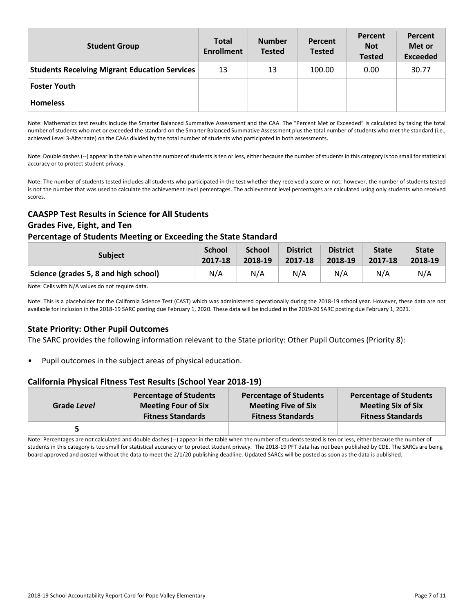| <b>Student Group</b>                                 | <b>Total</b><br><b>Enrollment</b> | <b>Number</b><br><b>Tested</b> | Percent<br><b>Tested</b> | Percent<br><b>Not</b><br><b>Tested</b> | Percent<br>Met or<br><b>Exceeded</b> |
|------------------------------------------------------|-----------------------------------|--------------------------------|--------------------------|----------------------------------------|--------------------------------------|
| <b>Students Receiving Migrant Education Services</b> | 13                                | 13                             | 100.00                   | 0.00                                   | 30.77                                |
| <b>Foster Youth</b>                                  |                                   |                                |                          |                                        |                                      |
| <b>Homeless</b>                                      |                                   |                                |                          |                                        |                                      |

Note: Mathematics test results include the Smarter Balanced Summative Assessment and the CAA. The "Percent Met or Exceeded" is calculated by taking the total number of students who met or exceeded the standard on the Smarter Balanced Summative Assessment plus the total number of students who met the standard (i.e., achieved Level 3-Alternate) on the CAAs divided by the total number of students who participated in both assessments.

Note: Double dashes (--) appear in the table when the number of students is ten or less, either because the number of students in this category is too small for statistical accuracy or to protect student privacy.

Note: The number of students tested includes all students who participated in the test whether they received a score or not; however, the number of students tested is not the number that was used to calculate the achievement level percentages. The achievement level percentages are calculated using only students who received scores.

### **CAASPP Test Results in Science for All Students Grades Five, Eight, and Ten**

### **Percentage of Students Meeting or Exceeding the State Standard**

| <b>Subject</b>                        | <b>School</b> | <b>School</b> | <b>District</b> | <b>District</b> | <b>State</b> | <b>State</b> |
|---------------------------------------|---------------|---------------|-----------------|-----------------|--------------|--------------|
|                                       | 2017-18       | 2018-19       | 2017-18         | 2018-19         | 2017-18      | 2018-19      |
| Science (grades 5, 8 and high school) | N/A           | N/A           | N/A             | N/A             | N/A          | N/A          |

Note: Cells with N/A values do not require data.

Note: This is a placeholder for the California Science Test (CAST) which was administered operationally during the 2018-19 school year. However, these data are not available for inclusion in the 2018-19 SARC posting due February 1, 2020. These data will be included in the 2019-20 SARC posting due February 1, 2021.

### **State Priority: Other Pupil Outcomes**

The SARC provides the following information relevant to the State priority: Other Pupil Outcomes (Priority 8):

Pupil outcomes in the subject areas of physical education.

### **California Physical Fitness Test Results (School Year 2018-19)**

| Grade Level | <b>Percentage of Students</b> | <b>Percentage of Students</b> | <b>Percentage of Students</b> |
|-------------|-------------------------------|-------------------------------|-------------------------------|
|             | <b>Meeting Four of Six</b>    | <b>Meeting Five of Six</b>    | <b>Meeting Six of Six</b>     |
|             | <b>Fitness Standards</b>      | <b>Fitness Standards</b>      | <b>Fitness Standards</b>      |
|             |                               |                               |                               |

Note: Percentages are not calculated and double dashes (--) appear in the table when the number of students tested is ten or less, either because the number of students in this category is too small for statistical accuracy or to protect student privacy. The 2018-19 PFT data has not been published by CDE. The SARCs are being board approved and posted without the data to meet the 2/1/20 publishing deadline. Updated SARCs will be posted as soon as the data is published.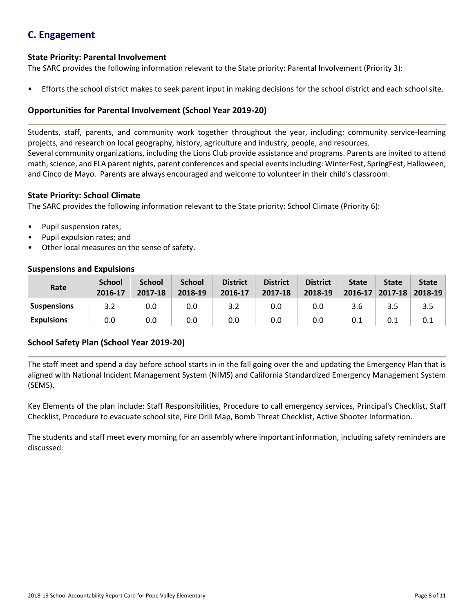# **C. Engagement**

### **State Priority: Parental Involvement**

The SARC provides the following information relevant to the State priority: Parental Involvement (Priority 3):

• Efforts the school district makes to seek parent input in making decisions for the school district and each school site.

### **Opportunities for Parental Involvement (School Year 2019-20)**

Students, staff, parents, and community work together throughout the year, including: community service-learning projects, and research on local geography, history, agriculture and industry, people, and resources. Several community organizations, including the Lions Club provide assistance and programs. Parents are invited to attend math, science, and ELA parent nights, parent conferences and special events including: WinterFest, SpringFest, Halloween, and Cinco de Mayo. Parents are always encouraged and welcome to volunteer in their child's classroom.

### **State Priority: School Climate**

The SARC provides the following information relevant to the State priority: School Climate (Priority 6):

- Pupil suspension rates;
- Pupil expulsion rates; and
- Other local measures on the sense of safety.

### **Suspensions and Expulsions**

| Rate               | <b>School</b><br>2016-17 | <b>School</b><br>2017-18 | <b>School</b><br>2018-19 | <b>District</b><br>2016-17 | <b>District</b><br>2017-18 | <b>District</b><br>2018-19 | <b>State</b><br>$2016 - 17$ | <b>State</b><br>$2017 - 18$ | <b>State</b><br>2018-19 |
|--------------------|--------------------------|--------------------------|--------------------------|----------------------------|----------------------------|----------------------------|-----------------------------|-----------------------------|-------------------------|
| <b>Suspensions</b> | 3.2                      | 0.0                      | 0.0                      |                            | 0.0                        | 0.0                        | 3.6                         | 3.5                         | 3.5                     |
| <b>Expulsions</b>  | 0.0                      | 0.0                      | 0.0                      | 0.0                        | 0.0                        | 0.0                        |                             | 0.1                         |                         |

### **School Safety Plan (School Year 2019-20)**

The staff meet and spend a day before school starts in in the fall going over the and updating the Emergency Plan that is aligned with National Incident Management System (NIMS) and California Standardized Emergency Management System (SEMS).

Key Elements of the plan include: Staff Responsibilities, Procedure to call emergency services, Principal's Checklist, Staff Checklist, Procedure to evacuate school site, Fire Drill Map, Bomb Threat Checklist, Active Shooter Information.

The students and staff meet every morning for an assembly where important information, including safety reminders are discussed.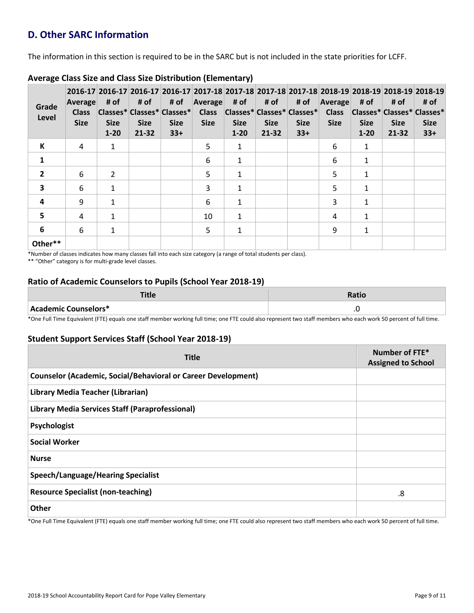# **D. Other SARC Information**

The information in this section is required to be in the SARC but is not included in the state priorities for LCFF.

| Grade<br>Level | Average<br><b>Class</b><br><b>Size</b> | # of<br><b>Size</b><br>$1 - 20$ | # of<br><b>Size</b><br>21-32 | # of<br> Classes* Classes* Classes* <br><b>Size</b><br>$33+$ | Average<br><b>Class</b><br><b>Size</b> | # of<br><b>Size</b><br>$1 - 20$ | # of<br> Classes* Classes* Classes* <br><b>Size</b><br>$21 - 32$ | # of<br><b>Size</b><br>$33+$ | Average<br><b>Class</b><br><b>Size</b> | # of<br> Classes* Classes* Classes*<br><b>Size</b><br>$1 - 20$ | # of<br><b>Size</b><br>21-32 | 2016-17 2016-17 2016-17 2016-17 2017-18 2017-18 2017-18 2017-18 2017-18 2018-19 2018-19 2018-19 2018-19<br># of<br><b>Size</b><br>$33+$ |
|----------------|----------------------------------------|---------------------------------|------------------------------|--------------------------------------------------------------|----------------------------------------|---------------------------------|------------------------------------------------------------------|------------------------------|----------------------------------------|----------------------------------------------------------------|------------------------------|-----------------------------------------------------------------------------------------------------------------------------------------|
| К              | 4                                      | $\mathbf{1}$                    |                              |                                                              | 5                                      | $\mathbf{1}$                    |                                                                  |                              | 6                                      | 1                                                              |                              |                                                                                                                                         |
| 1              |                                        |                                 |                              |                                                              | 6                                      | $\mathbf{1}$                    |                                                                  |                              | 6                                      | $\mathbf{1}$                                                   |                              |                                                                                                                                         |
| $\overline{2}$ | 6                                      | $\overline{2}$                  |                              |                                                              | 5                                      | 1                               |                                                                  |                              | 5                                      | $\mathbf{1}$                                                   |                              |                                                                                                                                         |
| 3              | 6                                      | $\mathbf{1}$                    |                              |                                                              | 3                                      | $\mathbf{1}$                    |                                                                  |                              | 5                                      | 1                                                              |                              |                                                                                                                                         |
| 4              | 9                                      | $\mathbf{1}$                    |                              |                                                              | 6                                      | $\mathbf{1}$                    |                                                                  |                              | 3                                      | 1                                                              |                              |                                                                                                                                         |
| 5              | 4                                      | 1                               |                              |                                                              | 10                                     | $\mathbf{1}$                    |                                                                  |                              | 4                                      | $\mathbf{1}$                                                   |                              |                                                                                                                                         |
| 6              | 6                                      | $\mathbf{1}$                    |                              |                                                              | 5                                      | $\mathbf{1}$                    |                                                                  |                              | 9                                      | $\mathbf{1}$                                                   |                              |                                                                                                                                         |
| Other**        |                                        |                                 |                              |                                                              |                                        |                                 |                                                                  |                              |                                        |                                                                |                              |                                                                                                                                         |

### **Average Class Size and Class Size Distribution (Elementary)**

\*Number of classes indicates how many classes fall into each size category (a range of total students per class).

\*\* "Other" category is for multi-grade level classes.

### **Ratio of Academic Counselors to Pupils (School Year 2018-19)**

|                               | Ratio     |
|-------------------------------|-----------|
| $\,$ Academic Counselors $^*$ | $\cdot$ . |

\*One Full Time Equivalent (FTE) equals one staff member working full time; one FTE could also represent two staff members who each work 50 percent of full time.

### **Student Support Services Staff (School Year 2018-19)**

| <b>Title</b>                                                         | Number of FTE*<br><b>Assigned to School</b> |
|----------------------------------------------------------------------|---------------------------------------------|
| <b>Counselor (Academic, Social/Behavioral or Career Development)</b> |                                             |
| Library Media Teacher (Librarian)                                    |                                             |
| <b>Library Media Services Staff (Paraprofessional)</b>               |                                             |
| Psychologist                                                         |                                             |
| <b>Social Worker</b>                                                 |                                             |
| <b>Nurse</b>                                                         |                                             |
| <b>Speech/Language/Hearing Specialist</b>                            |                                             |
| <b>Resource Specialist (non-teaching)</b>                            | .8                                          |
| Other                                                                |                                             |

\*One Full Time Equivalent (FTE) equals one staff member working full time; one FTE could also represent two staff members who each work 50 percent of full time.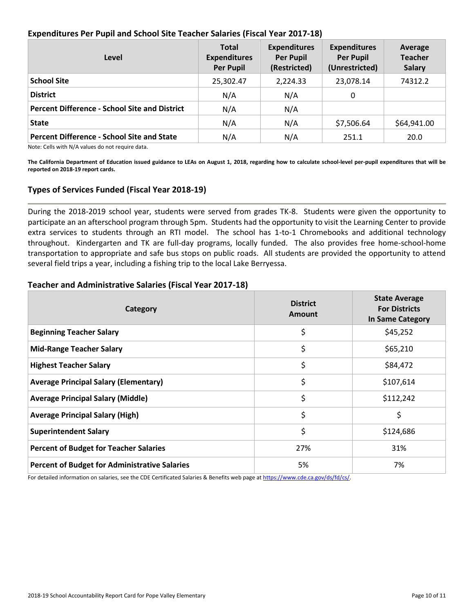### **Expenditures Per Pupil and School Site Teacher Salaries (Fiscal Year 2017-18)**

| Level                                                | <b>Total</b><br><b>Expenditures</b><br><b>Per Pupil</b> | <b>Expenditures</b><br><b>Per Pupil</b><br>(Restricted) | <b>Expenditures</b><br><b>Per Pupil</b><br>(Unrestricted) | Average<br><b>Teacher</b><br><b>Salary</b> |
|------------------------------------------------------|---------------------------------------------------------|---------------------------------------------------------|-----------------------------------------------------------|--------------------------------------------|
| <b>School Site</b>                                   | 25,302.47                                               | 2,224.33                                                | 23,078.14                                                 | 74312.2                                    |
| <b>District</b>                                      | N/A                                                     | N/A                                                     | 0                                                         |                                            |
| <b>Percent Difference - School Site and District</b> | N/A                                                     | N/A                                                     |                                                           |                                            |
| <b>State</b>                                         | N/A                                                     | N/A                                                     | \$7,506.64                                                | \$64,941.00                                |
| <b>Percent Difference - School Site and State</b>    | N/A                                                     | N/A                                                     | 251.1                                                     | 20.0                                       |

Note: Cells with N/A values do not require data.

**The California Department of Education issued guidance to LEAs on August 1, 2018, regarding how to calculate school-level per-pupil expenditures that will be reported on 2018-19 report cards.**

### **Types of Services Funded (Fiscal Year 2018-19)**

During the 2018-2019 school year, students were served from grades TK-8. Students were given the opportunity to participate an an afterschool program through 5pm. Students had the opportunity to visit the Learning Center to provide extra services to students through an RTI model. The school has 1-to-1 Chromebooks and additional technology throughout. Kindergarten and TK are full-day programs, locally funded. The also provides free home-school-home transportation to appropriate and safe bus stops on public roads. All students are provided the opportunity to attend several field trips a year, including a fishing trip to the local Lake Berryessa.

### **Teacher and Administrative Salaries (Fiscal Year 2017-18)**

| Category                                             | <b>District</b><br><b>Amount</b> | <b>State Average</b><br><b>For Districts</b><br>In Same Category |
|------------------------------------------------------|----------------------------------|------------------------------------------------------------------|
| <b>Beginning Teacher Salary</b>                      | \$                               | \$45,252                                                         |
| <b>Mid-Range Teacher Salary</b>                      | \$                               | \$65,210                                                         |
| <b>Highest Teacher Salary</b>                        | \$                               | \$84,472                                                         |
| <b>Average Principal Salary (Elementary)</b>         | \$                               | \$107,614                                                        |
| <b>Average Principal Salary (Middle)</b>             | \$                               | \$112,242                                                        |
| <b>Average Principal Salary (High)</b>               | \$                               | \$                                                               |
| <b>Superintendent Salary</b>                         | \$                               | \$124,686                                                        |
| <b>Percent of Budget for Teacher Salaries</b>        | 27%                              | 31%                                                              |
| <b>Percent of Budget for Administrative Salaries</b> | 5%                               | 7%                                                               |

For detailed information on salaries, see the CDE Certificated Salaries & Benefits web page at [https://www.cde.ca.gov/ds/fd/cs/.](http://www.cde.ca.gov/ds/fd/cs/)